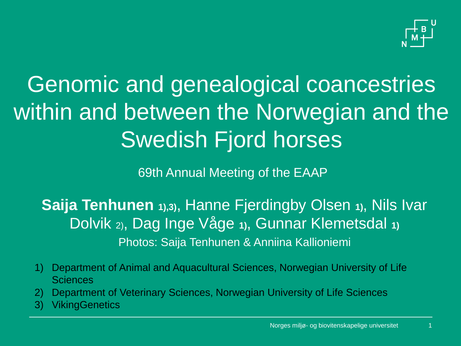

### Genomic and genealogical coancestries within and between the Norwegian and the Swedish Fjord horses

69th Annual Meeting of the EAAP

**Saija Tenhunen 1),3)**, Hanne Fjerdingby Olsen **1)**, Nils Ivar Dolvik 2), Dag Inge Våge **1)**, Gunnar Klemetsdal **1)** Photos: Saija Tenhunen & Anniina Kallioniemi

- 1) Department of Animal and Aquacultural Sciences, Norwegian University of Life **Sciences**
- 2) Department of Veterinary Sciences, Norwegian University of Life Sciences
- 3) VikingGenetics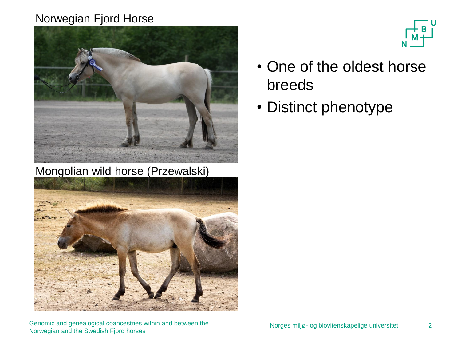#### Norwegian Fjord Horse



Mongolian wild horse (Przewalski)





- One of the oldest horse breeds
- Distinct phenotype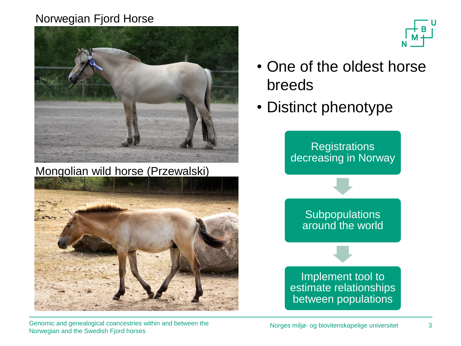#### Norwegian Fjord Horse



Mongolian wild horse (Przewalski)



Genomic and genealogical coancestries within and between the Norwegian and the Swedish Fjord horses



- One of the oldest horse breeds
- Distinct phenotype

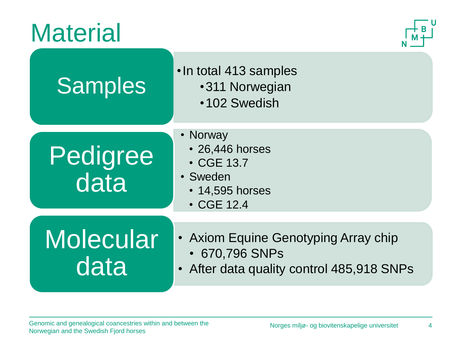#### **Material**



| <b>Samples</b>           | . In total 413 samples<br>•311 Norwegian<br>•102 Swedish                                            |
|--------------------------|-----------------------------------------------------------------------------------------------------|
| Pedigree<br>data         | • Norway<br>• 26,446 horses<br>• CGE 13.7<br>• Sweden<br>• 14,595 horses<br>• CGE 12.4              |
| <b>Molecular</b><br>data | • Axiom Equine Genotyping Array chip<br>• 670,796 SNPs<br>• After data quality control 485,918 SNPs |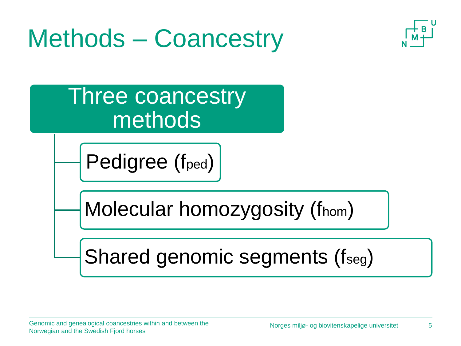## Methods – Coancestry



Three coancestry methods

Pedigree (f<sub>ped</sub>)

Molecular homozygosity (fhom)

Shared genomic segments (fseg)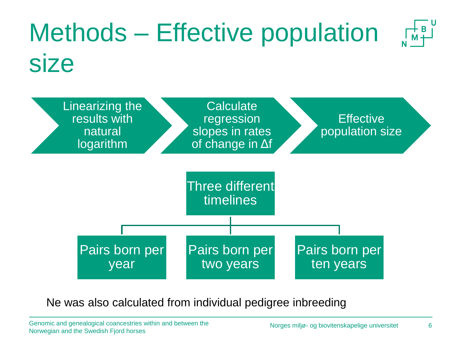

Ne was also calculated from individual pedigree inbreeding

Genomic and genealogical coancestries within and between the Norwegian and the Swedish Fjord horses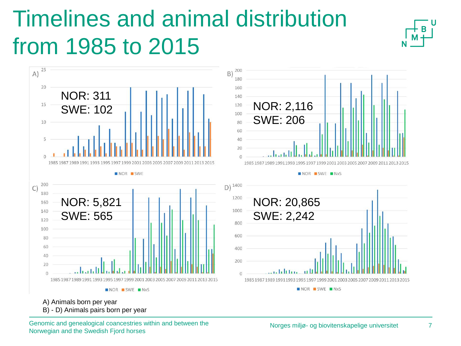### Timelines and animal distribution from 1985 to 2015





A) Animals born per year

B) - D) Animals pairs born per year

Genomic and genealogical coancestries within and between the Norwegian and the Swedish Fjord horses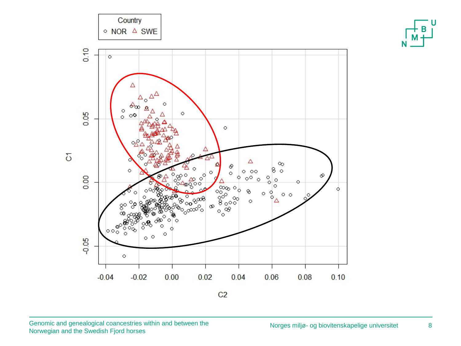

8

 $\mathbf{U}$ 

N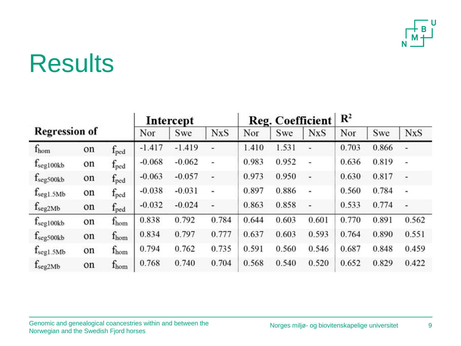

|                       |    |                  | Intercept |          |                | Reg. Coefficient |       |                | $\mathbb{R}^2$ |       |                |
|-----------------------|----|------------------|-----------|----------|----------------|------------------|-------|----------------|----------------|-------|----------------|
| <b>Regression of</b>  |    |                  | Nor       | Swe      | <b>NxS</b>     | Nor              | Swe   | <b>NxS</b>     | Nor            | Swe   | <b>NxS</b>     |
| $f_{\text{hom}}$      | on | $f_{\rm{ped}}$   | $-1.417$  | $-1.419$ | ۷              | 1.410            | 1.531 |                | 0.703          | 0.866 |                |
| $f_{\rm seg100kb}$    | on | $f_{\text{ped}}$ | $-0.068$  | $-0.062$ | $\overline{ }$ | 0.983            | 0.952 | $\overline{a}$ | 0.636          | 0.819 | $\overline{a}$ |
| f <sub>seg500kb</sub> | on | $f_{\text{ped}}$ | $-0.063$  | $-0.057$ | u              | 0.973            | 0.950 | ù,             | 0.630          | 0.817 | g,             |
| $f_{\text{seg1.5Mb}}$ | on | $f_{\text{ped}}$ | $-0.038$  | $-0.031$ | ۰              | 0.897            | 0.886 | $\blacksquare$ | 0.560          | 0.784 | -              |
| $f_{seg2Mb}$          | on | $f_{\text{ped}}$ | $-0.032$  | $-0.024$ | u              | 0.863            | 0.858 | ÷,             | 0.533          | 0.774 | L.             |
| $f_{\rm seg100kb}$    | on | $f_{\text{hom}}$ | 0.838     | 0.792    | 0.784          | 0.644            | 0.603 | 0.601          | 0.770          | 0.891 | 0.562          |
| f <sub>seg500kb</sub> | on | $f_{\rm hom}$    | 0.834     | 0.797    | 0.777          | 0.637            | 0.603 | 0.593          | 0.764          | 0.890 | 0.551          |
| $f_{\text{seg1.5Mb}}$ | on | $f_{\text{hom}}$ | 0.794     | 0.762    | 0.735          | 0.591            | 0.560 | 0.546          | 0.687          | 0.848 | 0.459          |
| $f_{seg2Mb}$          | on | $f_{\text{hom}}$ | 0.768     | 0.740    | 0.704          | 0.568            | 0.540 | 0.520          | 0.652          | 0.829 | 0.422          |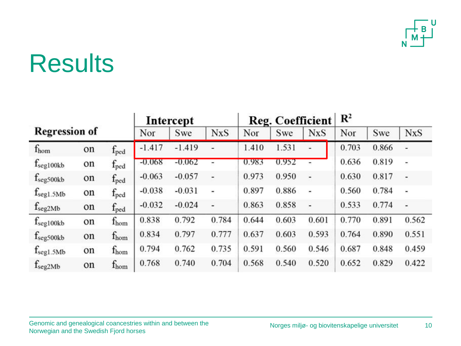

|                       |    |                  | Intercept |          |                | Reg. Coefficient |       |                          | $\mathbb{R}^2$ |       |                |
|-----------------------|----|------------------|-----------|----------|----------------|------------------|-------|--------------------------|----------------|-------|----------------|
| <b>Regression of</b>  |    |                  | Nor       | Swe      | <b>NxS</b>     | Nor              | Swe   | <b>NxS</b>               | Nor            | Swe   | <b>NxS</b>     |
| $f_{\text{hom}}$      | on | $f_{\rm{ped}}$   | $-1.417$  | $-1.419$ | ٠              | 1.410            | 1.531 | ٠                        | 0.703          | 0.866 |                |
| $f_{\rm seg100kb}$    | on | $f_{\text{ped}}$ | $-0.068$  | $-0.062$ | $\overline{ }$ | 0.983            | 0.952 | $\overline{\phantom{a}}$ | 0.636          | 0.819 | $\overline{a}$ |
| f <sub>seg500kb</sub> | on | $f_{\text{ped}}$ | $-0.063$  | $-0.057$ | ۳              | 0.973            | 0.950 | ù,                       | 0.630          | 0.817 | g,             |
| $f_{\text{seg1.5Mb}}$ | on | $f_{\rm{ped}}$   | $-0.038$  | $-0.031$ | ۰              | 0.897            | 0.886 | $\blacksquare$           | 0.560          | 0.784 | -              |
| $f_{seg2Mb}$          | on | $f_{\text{ped}}$ | $-0.032$  | $-0.024$ | u              | 0.863            | 0.858 | ä,                       | 0.533          | 0.774 | L.             |
| $f_{\rm seg100kb}$    | on | $f_{\text{hom}}$ | 0.838     | 0.792    | 0.784          | 0.644            | 0.603 | 0.601                    | 0.770          | 0.891 | 0.562          |
| f <sub>seg500kb</sub> | on | $f_{\rm hom}$    | 0.834     | 0.797    | 0.777          | 0.637            | 0.603 | 0.593                    | 0.764          | 0.890 | 0.551          |
| $f_{\text{seg1.5Mb}}$ | on | $f_{\text{hom}}$ | 0.794     | 0.762    | 0.735          | 0.591            | 0.560 | 0.546                    | 0.687          | 0.848 | 0.459          |
| $f_{seg2Mb}$          | on | $f_{\text{hom}}$ | 0.768     | 0.740    | 0.704          | 0.568            | 0.540 | 0.520                    | 0.652          | 0.829 | 0.422          |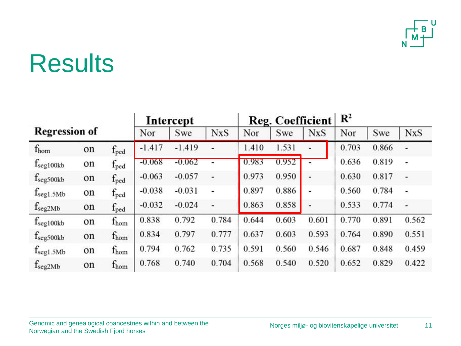

| <b>Regression of</b>  |    | Intercept        |          |          | Reg. Coefficient |       |       | $\mathbb{R}^2$ |       |       |                          |
|-----------------------|----|------------------|----------|----------|------------------|-------|-------|----------------|-------|-------|--------------------------|
|                       |    |                  | Nor      | Swe      | <b>NxS</b>       | Nor   | Swe   | <b>NxS</b>     | Nor   | Swe   | <b>NxS</b>               |
| $f_{\text{hom}}$      | on | $f_{\rm{ped}}$   | $-1.417$ | $-1.419$ |                  | 1.410 | 1.531 |                | 0.703 | 0.866 |                          |
| $f_{\text{seg100kb}}$ | on | $f_{\text{ped}}$ | $-0.068$ | $-0.062$ | -                | 0.983 | 0.952 | $\blacksquare$ | 0.636 | 0.819 | $\overline{\phantom{a}}$ |
| f <sub>seg500kb</sub> | on | $f_{\text{ped}}$ | $-0.063$ | $-0.057$ | ۷                | 0.973 | 0.950 | u              | 0.630 | 0.817 | g,                       |
| $f_{\text{seg1.5Mb}}$ | on | $f_{\rm{ped}}$   | $-0.038$ | $-0.031$ | ۰                | 0.897 | 0.886 | $\blacksquare$ | 0.560 | 0.784 | -                        |
| $f_{seg2Mb}$          | on | $f_{\rm{ped}}$   | $-0.032$ | $-0.024$ | u,               | 0.863 | 0.858 | L.             | 0.533 | 0.774 | L.                       |
| $f_{\rm seg100kb}$    | on | $f_{\text{hom}}$ | 0.838    | 0.792    | 0.784            | 0.644 | 0.603 | 0.601          | 0.770 | 0.891 | 0.562                    |
| f <sub>seg500kb</sub> | on | $f_{\rm hom}$    | 0.834    | 0.797    | 0.777            | 0.637 | 0.603 | 0.593          | 0.764 | 0.890 | 0.551                    |
| $f_{seg1.5Mb}$        | on | $f_{\text{hom}}$ | 0.794    | 0.762    | 0.735            | 0.591 | 0.560 | 0.546          | 0.687 | 0.848 | 0.459                    |
| $f_{seg2Mb}$          | on | $f_{\text{hom}}$ | 0.768    | 0.740    | 0.704            | 0.568 | 0.540 | 0.520          | 0.652 | 0.829 | 0.422                    |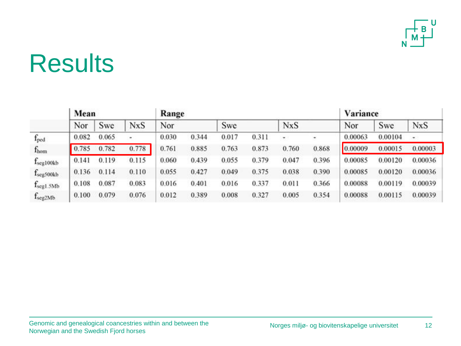

|                       | Mean  |       |            |       | Range |       |       |                          | Variance |         |         |            |
|-----------------------|-------|-------|------------|-------|-------|-------|-------|--------------------------|----------|---------|---------|------------|
|                       | Nor   | Swe   | <b>NxS</b> | Nor   |       | Swe   |       | <b>NxS</b>               |          | Nor     | Swe     | <b>NxS</b> |
| $f_{\text{ped}}$      | 0.082 | 0.065 | ۰          | 0.030 | 0.344 | 0.017 | 0.311 | $\overline{\phantom{a}}$ | ۰        | 0.00063 | 0.00104 | ÷          |
| $f_{\rm hom}$         | 0.785 | 0.782 | 0.778      | 0.761 | 0.885 | 0.763 | 0.873 | 0.760                    | 0.868    | 0.00009 | 0.00015 | 0.00003    |
| $f_{seg100kb}$        | 0.141 | 0.119 | 0.115      | 0.060 | 0.439 | 0.055 | 0.379 | 0.047                    | 0.396    | 0.00085 | 0.00120 | 0.00036    |
| f <sub>seg500kb</sub> | 0.136 | 0.114 | 0.110      | 0.055 | 0.427 | 0.049 | 0.375 | 0.038                    | 0.390    | 0.00085 | 0.00120 | 0.00036    |
| $f_{\text{seg1.5Mb}}$ | 0.108 | 0.087 | 0.083      | 0.016 | 0.401 | 0.016 | 0.337 | 0.011                    | 0.366    | 0.00088 | 0.00119 | 0.00039    |
| f <sub>seg2Mb</sub>   | 0.100 | 0.079 | 0.076      | 0.012 | 0.389 | 0.008 | 0.327 | 0.005                    | 0.354    | 0.00088 | 0.00115 | 0.00039    |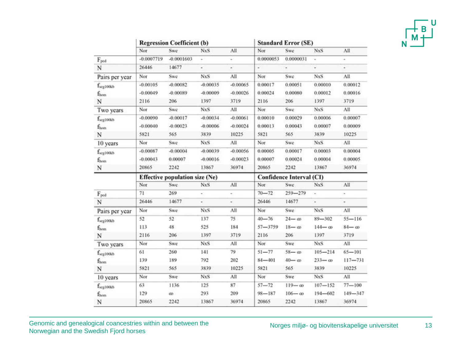|   |   | Н |  |
|---|---|---|--|
| v | Μ | ۰ |  |
|   |   |   |  |

|                       |              | <b>Regression Coefficient (b)</b>     |            |            | <b>Standard Error (SE)</b> |                                 |                          |               |
|-----------------------|--------------|---------------------------------------|------------|------------|----------------------------|---------------------------------|--------------------------|---------------|
|                       | Nor          | Swe                                   | <b>NxS</b> | All        | Nor                        | Swe                             | <b>NxS</b>               | All           |
| $F_{\text{ped}}$      | $-0.0007719$ | $-0.0001603$                          |            |            | 0.0000053                  | 0.0000031                       |                          |               |
| N                     | 26446        | 14677                                 | ¥          | ×,         | $\overline{\phantom{a}}$   | ×                               | ÷                        | ÷             |
| Pairs per year        | Nor          | Swe                                   | <b>NxS</b> | All        | Nor                        | Swe                             | NxS                      | All           |
| f <sub>seg100k</sub>  | $-0.00105$   | $-0.00082$                            | $-0.00035$ | $-0.00065$ | 0.00017                    | 0.00051                         | 0.00010                  | 0.00012       |
| $f_{\rm hom}$         | $-0.00049$   | $-0.00089$                            | $-0.00009$ | $-0.00026$ | 0.00024                    | 0.00080                         | 0.00012                  | 0.00016       |
| N                     | 2116         | 206                                   | 1397       | 3719       | 2116                       | 206                             | 1397                     | 3719          |
| Two years             | Nor          | Swe                                   | <b>NxS</b> | All        | Nor                        | Swe                             | <b>NxS</b>               | All           |
| f <sub>seg100kb</sub> | $-0.00090$   | $-0.00017$                            | $-0.00034$ | $-0.00061$ | 0.00010                    | 0.00029                         | 0.00006                  | 0.00007       |
| $f_{hom}$             | $-0.00040$   | $-0.00023$                            | $-0.00006$ | $-0.00024$ | 0.00013                    | 0.00043                         | 0.00007                  | 0.00009       |
| N                     | 5821         | 565                                   | 3839       | 10225      | 5821                       | 565                             | 3839                     | 10225         |
| 10 years              | Nor          | Swe                                   | <b>NxS</b> | All        | Nor                        | Swe                             | NxS                      | All           |
| f <sub>seg100kb</sub> | $-0.00087$   | $-0.00004$                            | $-0.00039$ | $-0.00056$ | 0.00005                    | 0.00017                         | 0.00003                  | 0.00004       |
| $f_{\rm hom}$         | $-0.00043$   | 0.00007                               | $-0.00016$ | $-0.00023$ | 0.00007                    | 0.00024                         | 0.00004                  | 0.00005       |
| N                     | 20865        | 2242                                  | 13867      | 36974      | 20865                      | 2242                            | 13867                    | 36974         |
|                       |              | <b>Effective population size (Ne)</b> |            |            |                            | <b>Confidence Interval (CI)</b> |                          |               |
|                       | Nor          | <b>Swe</b>                            | <b>NxS</b> | All        | Nor                        | Swe                             | <b>NxS</b>               | All           |
| $F_{\text{ped}}$      | 71           | 269                                   |            | ÷          | $70 - 72$                  | $259 - 279$                     | ÷                        | ۰             |
| N                     | 26446        | 14677                                 | ×.         | ×.         | 26446                      | 14677                           | $\overline{\phantom{a}}$ | ÷             |
| Pairs per year        | Nor          | Swe                                   | <b>NxS</b> | Лll        | Nor                        | Swe                             | <b>NxS</b>               | All           |
| $f_{\rm seg100kb}$    | 52           | 52                                    | 137        | 75         | $40 - 76$                  | $24 - \infty$                   | $89 - 302$               | $55 - 116$    |
| $f_{\text{hom}}$      | 113          | 48                                    | 525        | 184        | $57 - 3759$                | $18 - \omega$                   | $144 - \omega$           | $84 - \omega$ |
| N                     | 2116         | 206                                   | 1397       | 3719       | 2116                       | 206                             | 1397                     | 3719          |
| Two years             | Nor          | Swe                                   | <b>NxS</b> | All        | Nor                        | Swe                             | <b>NxS</b>               | All           |
| f <sub>seg100kb</sub> | 61           | 260                                   | 141        | 79         | $51 - 77$                  | $58 - \omega$                   | $105 - 214$              | $65 - 101$    |
| $f_{\rm hom}$         | 139          | 189                                   | 792        | 202        | $84 - 401$                 | $40 - \omega$                   | $233 - \infty$           | $117 - 731$   |
| N                     | 5821         | 565                                   | 3839       | 10225      | 5821                       | 565                             | 3839                     | 10225         |
| 10 years              | Nor          | Swe                                   | <b>NxS</b> | All        | Nor                        | Swe                             | NxS                      | All           |
| f <sub>seg100kb</sub> | 63           | 1136                                  | 125        | 87         | $57 - 72$                  | $119 - \omega$                  | $107 - 152$              | $77 - 100$    |
| $f_{\text{hom}}$      | 129          | œ                                     | 293        | 209        | $98 - 187$                 | $106 - \omega$                  | $194 - 602$              | $149 - 347$   |
| N                     | 20865        | 2242                                  | 13867      | 36974      | 20865                      | 2242                            | 13867                    | 36974         |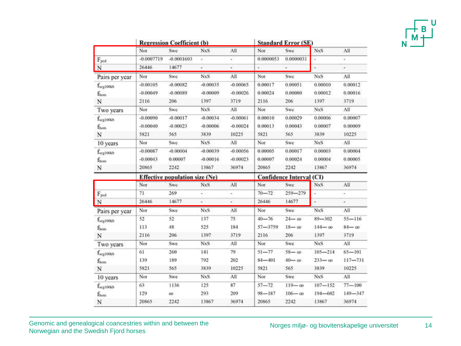|   | Η |  |
|---|---|--|
| М | ۳ |  |
|   |   |  |

|                                           |              | <b>Regression Coefficient (b)</b>     |            |            | <b>Standard Error (SE)</b> |                                 |                          |               |  |
|-------------------------------------------|--------------|---------------------------------------|------------|------------|----------------------------|---------------------------------|--------------------------|---------------|--|
|                                           | Nor          | Swe                                   | <b>NxS</b> | All        | Nor                        | Swe                             | <b>NxS</b>               | All           |  |
| $F_{\text{ped}}$                          | $-0.0007719$ | $-0.0001603$                          |            |            | 0.0000053                  | 0.0000031                       |                          |               |  |
| N                                         | 26446        | 14677                                 | ¥          | ٠          |                            |                                 | ÷                        | ¥             |  |
| Pairs per year                            | Nor          | Swe                                   | <b>NxS</b> | All        | Nor                        | Swe                             | NxS                      | All           |  |
| f <sub>seg100kb</sub>                     | $-0.00105$   | $-0.00082$                            | $-0.00035$ | $-0.00065$ | 0.00017                    | 0.00051                         | 0.00010                  | 0.00012       |  |
| $f_{\rm hom}$                             | $-0.00049$   | $-0.00089$                            | $-0.00009$ | $-0.00026$ | 0.00024                    | 0.00080                         | 0.00012                  | 0.00016       |  |
| N                                         | 2116         | 206                                   | 1397       | 3719       | 2116                       | 206                             | 1397                     | 3719          |  |
| Two years                                 | Nor          | Swc                                   | <b>NxS</b> | All        | Nor                        | Swe                             | <b>NxS</b>               | All           |  |
| $f_{\rm seg100kb}$                        | $-0.00090$   | $-0.00017$                            | $-0.00034$ | $-0.00061$ | 0.00010                    | 0.00029                         | 0.00006                  | 0.00007       |  |
| $f_{\rm hom}$                             | $-0.00040$   | $-0.00023$                            | $-0.00006$ | $-0.00024$ | 0.00013                    | 0.00043                         | 0.00007                  | 0.00009       |  |
| N                                         | 5821         | 565                                   | 3839       | 10225      | 5821                       | 565                             | 3839                     | 10225         |  |
| 10 years                                  | Nor          | Swe                                   | <b>NxS</b> | All        | Nor                        | Swe                             | NxS                      | All           |  |
| f <sub>seg100kb</sub>                     | $-0.00087$   | $-0.00004$                            | $-0.00039$ | $-0.00056$ | 0.00005                    | 0.00017                         | 0.00003                  | 0.00004       |  |
| $f_{\rm hom}$                             | $-0.00043$   | 0.00007                               | $-0.00016$ | $-0.00023$ | 0.00007                    | 0.00024                         | 0.00004                  | 0.00005       |  |
| N                                         | 20865        | 2242                                  | 13867      | 36974      | 20865                      | 2242                            | 13867                    | 36974         |  |
|                                           |              | <b>Effective population size (Ne)</b> |            |            |                            | <b>Confidence Interval (CI)</b> |                          |               |  |
|                                           | Nor          | Swe                                   | <b>NxS</b> | All        | Nor                        | Swe                             | <b>NxS</b>               | All           |  |
| $F_{\text{ped}}$                          | 71           | 269                                   | ÷          | ۰          | $70 - 72$                  | $259 - 279$                     | $\overline{\phantom{a}}$ | ÷             |  |
| N                                         | 26446        | 14677                                 | ×.         | ×.         | 26446                      | 14677                           | $\overline{\phantom{a}}$ | ÷             |  |
| Pairs per year                            | Nor          | Swe                                   | NxS        | All        | Nor                        | Swe                             | <b>NxS</b>               | All           |  |
| $f_{\rm seg100kb}$                        | 52           | 52                                    |            | 75         |                            |                                 |                          | $55 - 116$    |  |
| $f_{\text{hom}}$                          |              |                                       | 137        |            | $40 - 76$                  | $24 - \omega$                   | $89 - 302$               |               |  |
|                                           | 113          | 48                                    | 525        | 184        | $57 - 3759$                | $18 - \omega$                   | $144 - \omega$           | $84 - \omega$ |  |
| N                                         | 2116         | 206                                   | 1397       | 3719       | 2116                       | 206                             | 1397                     | 3719          |  |
| Two years                                 | Nor          | Swe                                   | NxS        | All        | Nor                        | Swe                             | <b>NxS</b>               | All           |  |
| f <sub>seg100kb</sub>                     | 61           | 260                                   | 141        | 79         | $51 - 77$                  | $58 - \omega$                   | $105 - 214$              | $65 - 101$    |  |
|                                           | 139          | 189                                   | 792        | 202        | $84 - 401$                 | $40 - \omega$                   | $233 - \infty$           | $117 - 731$   |  |
| $f_{\text{hom}}$<br>N                     | 5821         | 565                                   | 3839       | 10225      | 5821                       | 565                             | 3839                     | 10225         |  |
| 10 years                                  | Nor          | Swe                                   | <b>NxS</b> | All        | Nor                        | Swe                             | NxS                      | All           |  |
|                                           | 63           | 1136                                  | 125        | 87         | $57 - 72$                  | $119 - \omega$                  | $107 - 152$              | $77 - 100$    |  |
| f <sub>seg100kb</sub><br>$f_{\text{hom}}$ | 129          | œ                                     | 293        | 209        | $98 - 187$                 | $106 - \omega$                  | $194 - 602$              | $149 - 347$   |  |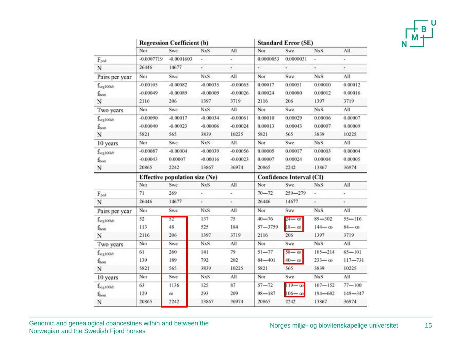|   |   | Н |  |
|---|---|---|--|
| v | Μ | ۰ |  |
|   |   |   |  |

|                       |              | <b>Regression Coefficient (b)</b>     |            |            | <b>Standard Error (SE)</b>      |                |                          |               |  |
|-----------------------|--------------|---------------------------------------|------------|------------|---------------------------------|----------------|--------------------------|---------------|--|
|                       | Nor          | Swe                                   | <b>NxS</b> | All        | Nor                             | Swe            | <b>NxS</b>               | All           |  |
| $F_{\text{ped}}$      | $-0.0007719$ | $-0.0001603$                          |            |            | 0.0000053                       | 0.0000031      |                          |               |  |
| N                     | 26446        | 14677                                 | ¥          | ٠          | ÷                               | ×              | ×,                       | ÷             |  |
| Pairs per year        | Nor          | Swe                                   | <b>NxS</b> | All        | Nor                             | Swe            | NxS                      | All           |  |
| f <sub>seg100k</sub>  | $-0.00105$   | $-0.00082$                            | $-0.00035$ | $-0.00065$ | 0.00017                         | 0.00051        | 0.00010                  | 0.00012       |  |
| $f_{\rm hom}$         | $-0.00049$   | $-0.00089$                            | $-0.00009$ | $-0.00026$ | 0.00024                         | 0.00080        | 0.00012                  | 0.00016       |  |
| N                     | 2116         | 206                                   | 1397       | 3719       | 2116                            | 206            | 1397                     | 3719          |  |
| Two years             | Nor          | Swe                                   | <b>NxS</b> | All        | Nor                             | Swe            | <b>NxS</b>               | All           |  |
| f <sub>seg100kb</sub> | $-0.00090$   | $-0.00017$                            | $-0.00034$ | $-0.00061$ | 0.00010                         | 0.00029        | 0.00006                  | 0.00007       |  |
| $f_{hom}$             | $-0.00040$   | $-0.00023$                            | $-0.00006$ | $-0.00024$ | 0.00013                         | 0.00043        | 0.00007                  | 0.00009       |  |
| N                     | 5821         | 565                                   | 3839       | 10225      | 5821                            | 565            | 3839                     | 10225         |  |
| 10 years              | Nor          | Swe                                   | <b>NxS</b> | All        | Nor                             | Swe            | NxS                      | All           |  |
| f <sub>seg100kb</sub> | $-0.00087$   | $-0.00004$                            | $-0.00039$ | $-0.00056$ | 0.00005                         | 0.00017        | 0.00003                  | 0.00004       |  |
| $f_{\rm hom}$         | $-0.00043$   | 0.00007                               | $-0.00016$ | $-0.00023$ | 0.00007                         | 0.00024        | 0.00004                  | 0.00005       |  |
| N                     | 20865        | 2242                                  | 13867      | 36974      | 20865                           | 2242           | 13867                    | 36974         |  |
|                       |              | <b>Effective population size (Ne)</b> |            |            | <b>Confidence Interval (CI)</b> |                |                          |               |  |
|                       | Nor          | Swe                                   | <b>NxS</b> | All        | Nor                             | Swe            | <b>NxS</b>               | All           |  |
| $F_{\text{ped}}$      | 71           | 269                                   |            | ÷          | $70 - 72$                       | $259 - 279$    | ÷                        | ۰             |  |
| N                     | 26446        | 14677                                 | ÷.         | ×.         | 26446                           | 14677          | $\overline{\phantom{a}}$ | ÷             |  |
| Pairs per year        | Nor          | Swe                                   | <b>NxS</b> | Лll        | Nor                             | Swe            | <b>NxS</b>               | All           |  |
| $f_{\rm seg100kb}$    | 52           | 52                                    | 137        | 75         | $40 - 76$                       | $24 - \infty$  | $89 - 302$               | $55 - 116$    |  |
| $f_{\text{hom}}$      | 113          | 48                                    | 525        | 184        | $57 - 3759$                     | $18 - \omega$  | $144 - \infty$           | $84 - \omega$ |  |
| N                     | 2116         | 206                                   | 1397       | 3719       | 2116                            | 206            | 1397                     | 3719          |  |
| Two years             | Nor          | Swe                                   | <b>NxS</b> | All        | Nor                             | Swe            | <b>NxS</b>               | All           |  |
| f <sub>seg100kb</sub> | 61           | 260                                   | 141        | 79         | $51 - 77$                       | $58 - \omega$  | $105 - 214$              | $65 - 101$    |  |
| $f_{\rm hom}$         | 139          | 189                                   | 792        | 202        | $84 - 401$                      | $40 - \omega$  | $233 - \infty$           | $117 - 731$   |  |
| N                     | 5821         | 565                                   | 3839       | 10225      | 5821                            | 565            | 3839                     | 10225         |  |
| 10 years              | Nor          | Swe                                   | <b>NxS</b> | All        | Nor                             | Swe            | NxS                      | All           |  |
| f <sub>seg100kb</sub> | 63           | 1136                                  | 125        | 87         | $57 - 72$                       | $119 - \omega$ | $107 - 152$              | $77 - 100$    |  |
| $f_{\text{hom}}$      | 129          | œ                                     | 293        | 209        | $98 - 187$                      | $106 - \infty$ | $194 - 602$              | $149 - 347$   |  |
|                       |              |                                       |            |            |                                 |                |                          |               |  |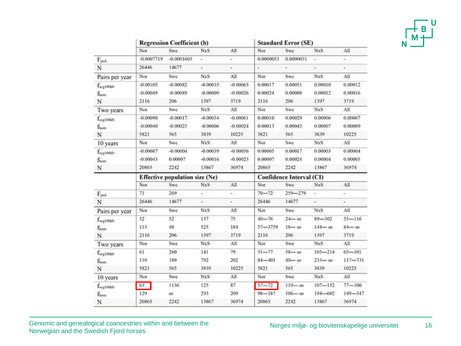|   |   | κ |  |
|---|---|---|--|
|   | Μ |   |  |
| J |   |   |  |

|                       | <b>Regression Coefficient (b)</b>     |              |            |            | <b>Standard Error (SE)</b> |                |                          |               |
|-----------------------|---------------------------------------|--------------|------------|------------|----------------------------|----------------|--------------------------|---------------|
|                       | Nor                                   | Swe          | <b>NxS</b> | All        | Nor                        | Swe            | <b>NxS</b>               | All           |
| $F_{\text{ped}}$      | $-0.0007719$                          | $-0.0001603$ |            | ÷          | 0.0000053                  | 0.0000031      |                          |               |
| N                     | 26446                                 | 14677        | ¥          | ٠          | $\overline{\phantom{a}}$   | ۰              | ÷                        | ٠             |
| Pairs per year        | Nor                                   | Swe          | NxS        | All        | Nor                        | Swe            | NxS                      | All           |
| f <sub>seg100k</sub>  | $-0.00105$                            | $-0.00082$   | $-0.00035$ | $-0.00065$ | 0.00017                    | 0.00051        | 0.00010                  | 0.00012       |
| $f_{\rm hom}$         | $-0.00049$                            | $-0.00089$   | $-0.00009$ | $-0.00026$ | 0.00024                    | 0.00080        | 0.00012                  | 0.00016       |
| N                     | 2116                                  | 206          | 1397       | 3719       | 2116                       | 206            | 1397                     | 3719          |
| Two years             | Nor                                   | Swc          | <b>NxS</b> | All        | Nor                        | Swe            | <b>NxS</b>               | All           |
| $f_{\rm seg100kb}$    | $-0.00090$                            | $-0.00017$   | $-0.00034$ | $-0.00061$ | 0.00010                    | 0.00029        | 0.00006                  | 0.00007       |
| $f_{hom}$             | $-0.00040$                            | $-0.00023$   | $-0.00006$ | $-0.00024$ | 0.00013                    | 0.00043        | 0.00007                  | 0.00009       |
| N                     | 5821                                  | 565          | 3839       | 10225      | 5821                       | 565            | 3839                     | 10225         |
| 10 years              | Nor                                   | Swe          | <b>NxS</b> | All        | Nor                        | Swe            | NxS                      | All           |
| f <sub>seg100kb</sub> | $-0.00087$                            | $-0.00004$   | $-0.00039$ | $-0.00056$ | 0.00005                    | 0.00017        | 0.00003                  | 0.00004       |
| $f_{\rm hom}$         | $-0.00043$                            | 0.00007      | $-0.00016$ | $-0.00023$ | 0.00007                    | 0.00024        | 0.00004                  | 0.00005       |
| N                     | 20865                                 | 2242         | 13867      | 36974      | 20865                      | 2242           | 13867                    | 36974         |
|                       | <b>Effective population size (Ne)</b> |              |            |            | Confidence Interval (CI)   |                |                          |               |
|                       | Nor                                   | <b>Swe</b>   | <b>NxS</b> | All        | Nor                        | Swe            | NxS                      | All           |
| $F_{\text{ped}}$      | 71                                    | 269          | ÷          | ÷          | $70 - 72$                  | $259 - 279$    | ÷,                       | ٠             |
| N                     | 26446                                 | 14677        | é.         | ×.         | 26446                      | 14677          | $\overline{\phantom{a}}$ | ÷             |
| Pairs per year        | Nor                                   | Swe          | <b>NxS</b> | All        | Nor                        | Swe            | <b>NxS</b>               | All           |
| $f_{\rm seg100kb}$    | 52                                    | 52           | 137        | 75         | $40 - 76$                  | $24 - \infty$  | $89 - 302$               | $55 - 116$    |
| $f_{\text{hom}}$      | 113                                   | 48           | 525        | 184        | $57 - 3759$                | $18 - \omega$  | $144 - \omega$           | $84 - \omega$ |
| N                     | 2116                                  | 206          | 1397       | 3719       | 2116                       | 206            | 1397                     | 3719          |
| Two years             | Nor                                   | Swe          | NxS        | All        | Nor                        | Swe            | <b>NxS</b>               | All           |
| f <sub>scg100kb</sub> | 61                                    | 260          | 141        | 79         | $51 - 77$                  | $58 - \omega$  | $105 - 214$              | $65 - 101$    |
| $f_{\text{hom}}$      | 139                                   | 189          | 792        | 202        | $84 - 401$                 | $40 - \omega$  | $233 - \infty$           | $117 - 731$   |
| N                     | 5821                                  | 565          | 3839       | 10225      | 5821                       | 565            | 3839                     | 10225         |
| 10 years              | Nor                                   | Swe          | <b>NxS</b> | All        | Nor                        | Swe            | NxS                      | All           |
| f <sub>scg100kb</sub> | $63 -$                                | 1136         | 125        | 87         | $57 - 72$                  | $119 - \omega$ | $107 - 152$              | $77 - 100$    |
| $f_{\text{hom}}$      | 129                                   | œ            | 293        | 209        | $98 - 187$                 | $106 - \omega$ | $194 - 602$              | $149 - 347$   |
| N                     | 20865                                 | 2242         | 13867      | 36974      | 20865                      | 2242           | 13867                    | 36974         |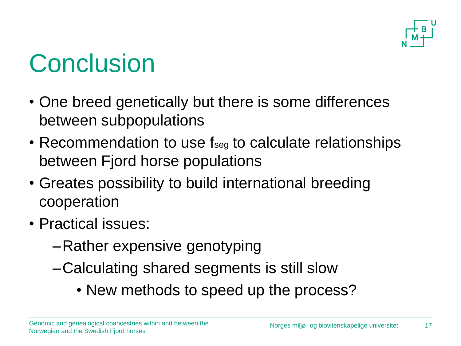

# **Conclusion**

- One breed genetically but there is some differences between subpopulations
- Recommendation to use fseg to calculate relationships between Fjord horse populations
- Greates possibility to build international breeding cooperation
- Practical issues:
	- –Rather expensive genotyping
	- –Calculating shared segments is still slow
		- New methods to speed up the process?